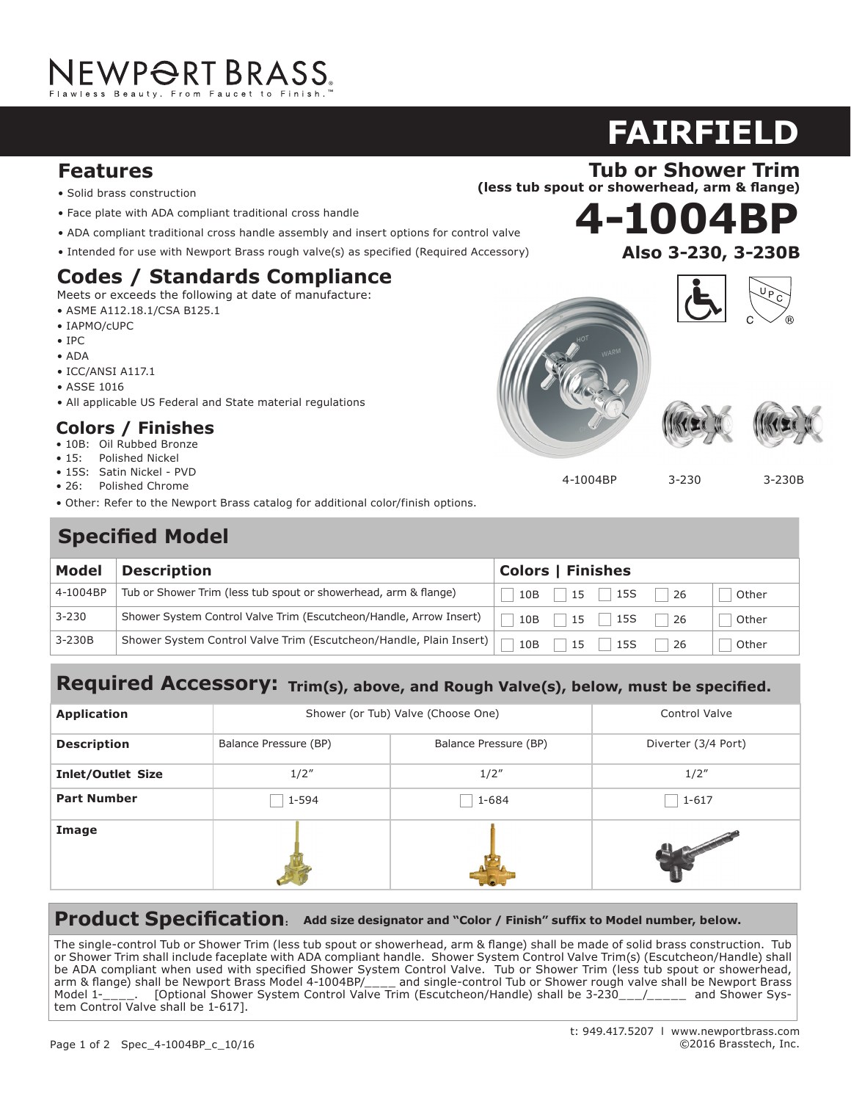# NEWP<del>O</del>RT BRASS.

#### **Features**

- Solid brass construction
- **•** Face plate with ADA compliant traditional cross handle
- ADA compliant traditional cross handle assembly and insert options for control valve
- Intended for use with Newport Brass rough valve(s) as specified (Required Accessory)

### Codes / Standards Compliance

Meets or exceeds the following at date of manufacture:

- ASME A112.18.1/CSA B125.1  $\frac{1}{2}$
- IAPMO/cUPC
- IPC
- ADA
- $\bullet$  ICC/ANSI A117.1
- ASSE 1016
- ASSE 1010<br>• All applicable US Federal and State material regulations

#### **Colors / Finishes**  $\mathbf{r}_\mathrm{c}$  (14.3 cm) spout reach (c-c) spout reach (c-c)

- 10B: Oil Rubbed Bronze
- 15: Polished Nickel
- 15S: Satin Nickel PVD
- 26: Polished Chrome
- 20. Tronshed emonic<br>• Other: Refer to the Newport Brass catalog for additional color/finish options.

#### Meets or exceeds the following at date of manufacture: **Specified Model** Parties

• ICC/ANSI A117.1

| <b>Description</b>                                                 |                                                                    |                                                                  |       |
|--------------------------------------------------------------------|--------------------------------------------------------------------|------------------------------------------------------------------|-------|
| Tub or Shower Trim (less tub spout or showerhead, arm & flange)    | 10B<br>$\mathbb{R}$                                                | -26                                                              | Other |
| Shower System Control Valve Trim (Escutcheon/Handle, Arrow Insert) | 10B                                                                | -26                                                              | Other |
|                                                                    | 10B                                                                | 26                                                               | Other |
|                                                                    | Shower System Control Valve Trim (Escutcheon/Handle, Plain Insert) | <b>Colors   Finishes</b><br>$15$   15S<br>15   15S<br>$15$   15S |       |

#### ed accessory: w, must be speເ  $\textbf{Required Accessory:}$  Trim(s), above, and Rough Valve(s), below, must be specified.

| <b>Application</b>       | Shower (or Tub) Valve (Choose One) |                       | <b>Control Valve</b> |
|--------------------------|------------------------------------|-----------------------|----------------------|
| <b>Description</b>       | Balance Pressure (BP)              | Balance Pressure (BP) | Diverter (3/4 Port)  |
| <b>Inlet/Outlet Size</b> | 1/2''                              | 1/2''                 | 1/2''                |
| <b>Part Number</b>       | 1-594                              | 1-684                 | $1 - 617$            |
| Image                    |                                    |                       |                      |

#### **Product Specification: Add size designator and "Color / Finish" suffix to Model number, below.**

The single-control Tub or Shower Trim (less tub spout or showerhead, arm & flange) shall be made of solid brass construction. Tub or Shower Trim shall include faceplate with ADA compliant handle. Shower System Control Valve Trim(s) (Escutcheon/Handle) shall be ADA compliant when used with specified Shower System Control Valve. Tub or Shower Trim (less tub spout or showerhead,<br>
prim % flange) shall be Nounest Brass Model 4,1004RP/ arm & flange) shall be Newport Brass Model 4-1004BP/\_\_\_\_ and single-control Tub or Shower rough valve shall be Newport Brass Model 1-\_\_\_\_. [Optional Shower System Control Valve Trim (Escutcheon/Handle) shall be 3-230\_\_\_/\_\_\_\_\_\_ and Shower Sys- | integral supply hoses and feature bodies with the grad supply hoses and feature brass values with  $\sim$  100 second shall have and feature and feature and feature shall have a shell have a shell have a shall have a shall hav

 $1.5 \mathrm{m}$  per minute maximum flow rate. Product shall be for  $800$  ( $200$ 

## **4-1004BP 920**

**FAIRFIELD**





4-1004BP 3-230

3-230B